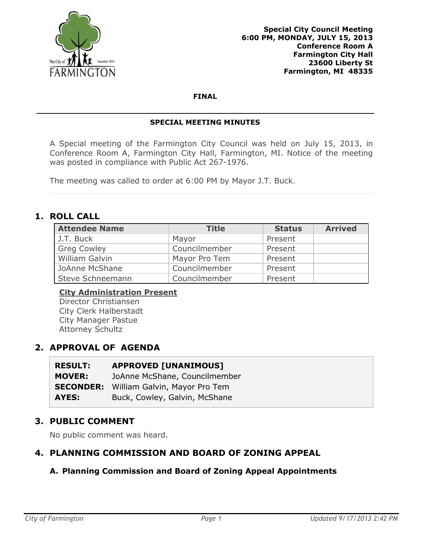

#### **FINAL**

#### **SPECIAL MEETING MINUTES**

A Special meeting of the Farmington City Council was held on July 15, 2013, in Conference Room A, Farmington City Hall, Farmington, MI. Notice of the meeting was posted in compliance with Public Act 267-1976.

The meeting was called to order at 6:00 PM by Mayor J.T. Buck.

## **1. ROLL CALL**

| <b>Attendee Name</b> | <b>Title</b>  | <b>Status</b> | <b>Arrived</b> |
|----------------------|---------------|---------------|----------------|
| J.T. Buck            | Mayor         | Present       |                |
| <b>Greg Cowley</b>   | Councilmember | Present       |                |
| William Galvin       | Mayor Pro Tem | Present       |                |
| JoAnne McShane       | Councilmember | Present       |                |
| Steve Schneemann     | Councilmember | Present       |                |

# **City Administration Present**

Director Christiansen City Clerk Halberstadt City Manager Pastue Attorney Schultz

# **2. APPROVAL OF AGENDA**

| <b>RESULT:</b>   | <b>APPROVED [UNANIMOUS]</b>   |
|------------------|-------------------------------|
| <b>MOVER:</b>    | JoAnne McShane, Councilmember |
| <b>SECONDER:</b> | William Galvin, Mayor Pro Tem |
| AYES:            | Buck, Cowley, Galvin, McShane |

## **3. PUBLIC COMMENT**

No public comment was heard.

# **4. PLANNING COMMISSION AND BOARD OF ZONING APPEAL**

## **A. Planning Commission and Board of Zoning Appeal Appointments**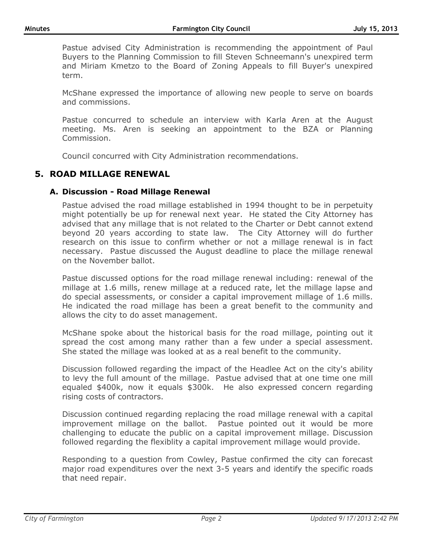Pastue advised City Administration is recommending the appointment of Paul Buyers to the Planning Commission to fill Steven Schneemann's unexpired term and Miriam Kmetzo to the Board of Zoning Appeals to fill Buyer's unexpired term.

McShane expressed the importance of allowing new people to serve on boards and commissions.

Pastue concurred to schedule an interview with Karla Aren at the August meeting. Ms. Aren is seeking an appointment to the BZA or Planning Commission.

Council concurred with City Administration recommendations.

## **5. ROAD MILLAGE RENEWAL**

### **A. Discussion - Road Millage Renewal**

Pastue advised the road millage established in 1994 thought to be in perpetuity might potentially be up for renewal next year. He stated the City Attorney has advised that any millage that is not related to the Charter or Debt cannot extend beyond 20 years according to state law. The City Attorney will do further research on this issue to confirm whether or not a millage renewal is in fact necessary. Pastue discussed the August deadline to place the millage renewal on the November ballot.

Pastue discussed options for the road millage renewal including: renewal of the millage at 1.6 mills, renew millage at a reduced rate, let the millage lapse and do special assessments, or consider a capital improvement millage of 1.6 mills. He indicated the road millage has been a great benefit to the community and allows the city to do asset management.

McShane spoke about the historical basis for the road millage, pointing out it spread the cost among many rather than a few under a special assessment. She stated the millage was looked at as a real benefit to the community.

Discussion followed regarding the impact of the Headlee Act on the city's ability to levy the full amount of the millage. Pastue advised that at one time one mill equaled \$400k, now it equals \$300k. He also expressed concern regarding rising costs of contractors.

Discussion continued regarding replacing the road millage renewal with a capital improvement millage on the ballot. Pastue pointed out it would be more challenging to educate the public on a capital improvement millage. Discussion followed regarding the flexiblity a capital improvement millage would provide.

Responding to a question from Cowley, Pastue confirmed the city can forecast major road expenditures over the next 3-5 years and identify the specific roads that need repair.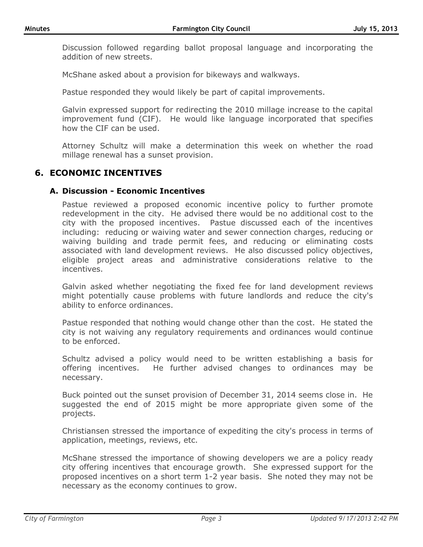Discussion followed regarding ballot proposal language and incorporating the addition of new streets.

McShane asked about a provision for bikeways and walkways.

Pastue responded they would likely be part of capital improvements.

Galvin expressed support for redirecting the 2010 millage increase to the capital improvement fund (CIF). He would like language incorporated that specifies how the CIF can be used.

Attorney Schultz will make a determination this week on whether the road millage renewal has a sunset provision.

### **6. ECONOMIC INCENTIVES**

#### **A. Discussion - Economic Incentives**

Pastue reviewed a proposed economic incentive policy to further promote redevelopment in the city. He advised there would be no additional cost to the city with the proposed incentives. Pastue discussed each of the incentives including: reducing or waiving water and sewer connection charges, reducing or waiving building and trade permit fees, and reducing or eliminating costs associated with land development reviews. He also discussed policy objectives, eligible project areas and administrative considerations relative to the incentives.

Galvin asked whether negotiating the fixed fee for land development reviews might potentially cause problems with future landlords and reduce the city's ability to enforce ordinances.

Pastue responded that nothing would change other than the cost. He stated the city is not waiving any regulatory requirements and ordinances would continue to be enforced.

Schultz advised a policy would need to be written establishing a basis for offering incentives. He further advised changes to ordinances may be necessary.

Buck pointed out the sunset provision of December 31, 2014 seems close in. He suggested the end of 2015 might be more appropriate given some of the projects.

Christiansen stressed the importance of expediting the city's process in terms of application, meetings, reviews, etc.

McShane stressed the importance of showing developers we are a policy ready city offering incentives that encourage growth. She expressed support for the proposed incentives on a short term 1-2 year basis. She noted they may not be necessary as the economy continues to grow.